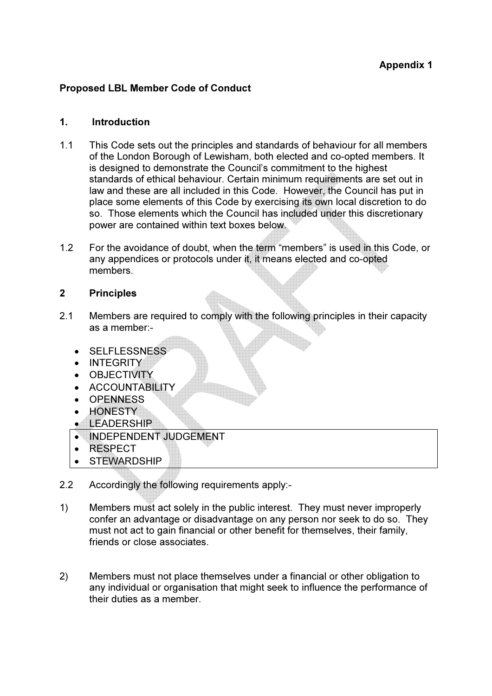# Proposed LBL Member Code of Conduct

#### 1. Introduction

- 1.1 This Code sets out the principles and standards of behaviour for all members of the London Borough of Lewisham, both elected and co-opted members. It is designed to demonstrate the Council's commitment to the highest standards of ethical behaviour. Certain minimum requirements are set out in law and these are all included in this Code. However, the Council has put in place some elements of this Code by exercising its own local discretion to do so. Those elements which the Council has included under this discretionary power are contained within text boxes below.
- 1.2 For the avoidance of doubt, when the term "members" is used in this Code, or any appendices or protocols under it, it means elected and co-opted members.

### 2 Principles

- 2.1 Members are required to comply with the following principles in their capacity as a member:-
	- SELFLESSNESS
	- INTEGRITY
	- OBJECTIVITY
	- ACCOUNTABILITY
	- OPENNESS
	- HONESTY
	- LEADERSHIP
	- INDEPENDENT JUDGEMENT
	- RESPECT
	- STEWARDSHIP
- 2.2 Accordingly the following requirements apply:-
- 1) Members must act solely in the public interest. They must never improperly confer an advantage or disadvantage on any person nor seek to do so. They must not act to gain financial or other benefit for themselves, their family, friends or close associates.
- 2) Members must not place themselves under a financial or other obligation to any individual or organisation that might seek to influence the performance of their duties as a member.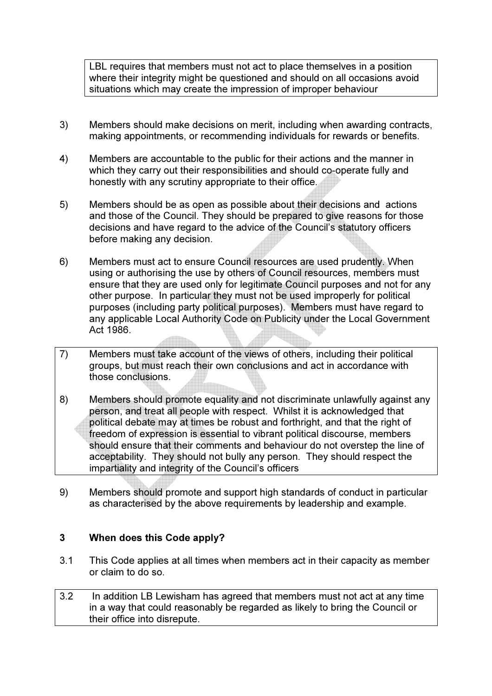LBL requires that members must not act to place themselves in a position where their integrity might be questioned and should on all occasions avoid situations which may create the impression of improper behaviour

- 3) Members should make decisions on merit, including when awarding contracts, making appointments, or recommending individuals for rewards or benefits.
- 4) Members are accountable to the public for their actions and the manner in which they carry out their responsibilities and should co-operate fully and honestly with any scrutiny appropriate to their office.
- 5) Members should be as open as possible about their decisions and actions and those of the Council. They should be prepared to give reasons for those decisions and have regard to the advice of the Council's statutory officers before making any decision.
- 6) Members must act to ensure Council resources are used prudently. When using or authorising the use by others of Council resources, members must ensure that they are used only for legitimate Council purposes and not for any other purpose. In particular they must not be used improperly for political purposes (including party political purposes). Members must have regard to any applicable Local Authority Code on Publicity under the Local Government Act 1986.
- 7) Members must take account of the views of others, including their political groups, but must reach their own conclusions and act in accordance with those conclusions.
- 8) Members should promote equality and not discriminate unlawfully against any person, and treat all people with respect. Whilst it is acknowledged that political debate may at times be robust and forthright, and that the right of freedom of expression is essential to vibrant political discourse, members should ensure that their comments and behaviour do not overstep the line of acceptability. They should not bully any person. They should respect the impartiality and integrity of the Council's officers
- 9) Members should promote and support high standards of conduct in particular as characterised by the above requirements by leadership and example.

### 3 When does this Code apply?

- 3.1 This Code applies at all times when members act in their capacity as member or claim to do so.
- 3.2 In addition LB Lewisham has agreed that members must not act at any time in a way that could reasonably be regarded as likely to bring the Council or their office into disrepute.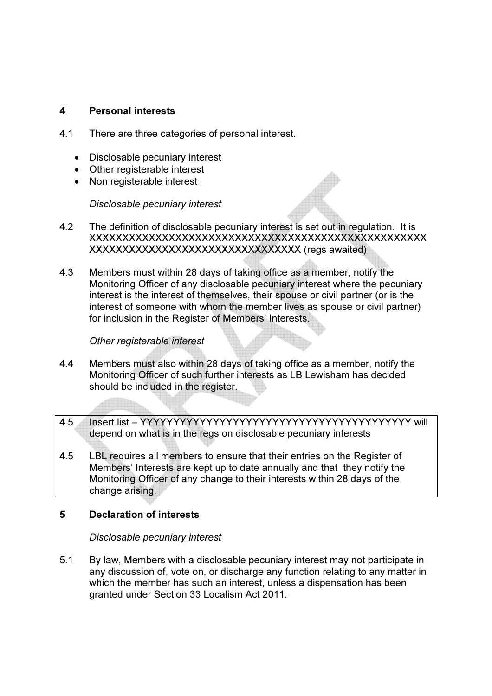### 4 Personal interests

- 4.1 There are three categories of personal interest.
	- Disclosable pecuniary interest
	- Other registerable interest
	- Non registerable interest

Disclosable pecuniary interest

- 4.2 The definition of disclosable pecuniary interest is set out in regulation. It is XXXXXXXXXXXXXXXXXXXXXXXXXXXXXXXXXXXXXXXXXXXXXXXXXXX XXXXXXXXXXXXXXXXXXXXXXXXXXXXXXXX (regs awaited)
- 4.3 Members must within 28 days of taking office as a member, notify the Monitoring Officer of any disclosable pecuniary interest where the pecuniary interest is the interest of themselves, their spouse or civil partner (or is the interest of someone with whom the member lives as spouse or civil partner) for inclusion in the Register of Members' Interests.

#### Other registerable interest

4.4 Members must also within 28 days of taking office as a member, notify the Monitoring Officer of such further interests as LB Lewisham has decided should be included in the register.

4.5 Insert list – YYYYYYYYYYYYYYYYYYYYYYYYYYYYYYYYYYYYYYYYY will depend on what is in the regs on disclosable pecuniary interests

4.5 LBL requires all members to ensure that their entries on the Register of Members' Interests are kept up to date annually and that they notify the Monitoring Officer of any change to their interests within 28 days of the change arising.

### 5 Declaration of interests

Disclosable pecuniary interest

5.1 By law, Members with a disclosable pecuniary interest may not participate in any discussion of, vote on, or discharge any function relating to any matter in which the member has such an interest, unless a dispensation has been granted under Section 33 Localism Act 2011.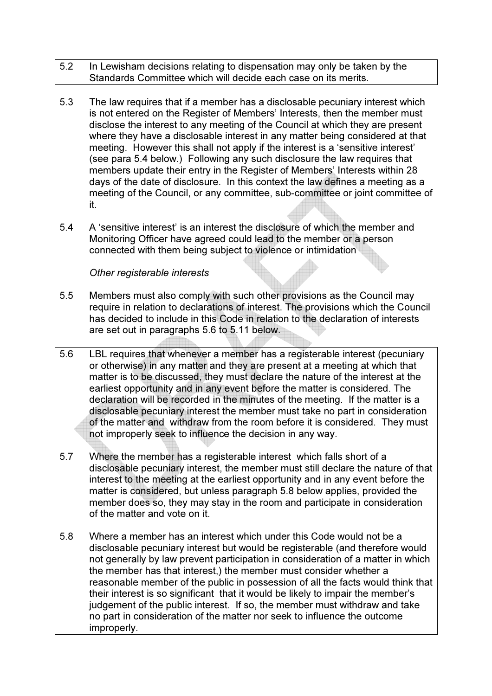- 5.2 In Lewisham decisions relating to dispensation may only be taken by the Standards Committee which will decide each case on its merits.
- 5.3 The law requires that if a member has a disclosable pecuniary interest which is not entered on the Register of Members' Interests, then the member must disclose the interest to any meeting of the Council at which they are present where they have a disclosable interest in any matter being considered at that meeting. However this shall not apply if the interest is a 'sensitive interest' (see para 5.4 below.) Following any such disclosure the law requires that members update their entry in the Register of Members' Interests within 28 days of the date of disclosure. In this context the law defines a meeting as a meeting of the Council, or any committee, sub-committee or joint committee of it.
- 5.4 A 'sensitive interest' is an interest the disclosure of which the member and Monitoring Officer have agreed could lead to the member or a person connected with them being subject to violence or intimidation

### Other registerable interests

- 5.5 Members must also comply with such other provisions as the Council may require in relation to declarations of interest. The provisions which the Council has decided to include in this Code in relation to the declaration of interests are set out in paragraphs 5.6 to 5.11 below.
- 5.6 LBL requires that whenever a member has a registerable interest (pecuniary or otherwise) in any matter and they are present at a meeting at which that matter is to be discussed, they must declare the nature of the interest at the earliest opportunity and in any event before the matter is considered. The declaration will be recorded in the minutes of the meeting. If the matter is a disclosable pecuniary interest the member must take no part in consideration of the matter and withdraw from the room before it is considered. They must not improperly seek to influence the decision in any way.
- 5.7 Where the member has a registerable interest which falls short of a disclosable pecuniary interest, the member must still declare the nature of that interest to the meeting at the earliest opportunity and in any event before the matter is considered, but unless paragraph 5.8 below applies, provided the member does so, they may stay in the room and participate in consideration of the matter and vote on it.
- 5.8 Where a member has an interest which under this Code would not be a disclosable pecuniary interest but would be registerable (and therefore would not generally by law prevent participation in consideration of a matter in which the member has that interest,) the member must consider whether a reasonable member of the public in possession of all the facts would think that their interest is so significant that it would be likely to impair the member's judgement of the public interest. If so, the member must withdraw and take no part in consideration of the matter nor seek to influence the outcome improperly.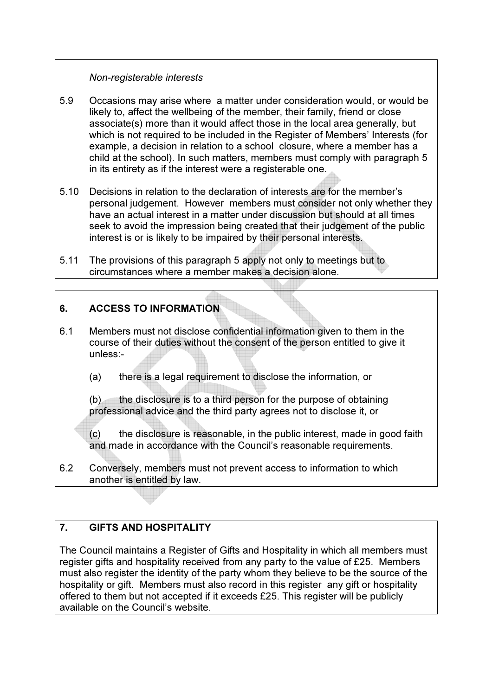### Non-registerable interests

- 5.9 Occasions may arise where a matter under consideration would, or would be likely to, affect the wellbeing of the member, their family, friend or close associate(s) more than it would affect those in the local area generally, but which is not required to be included in the Register of Members' Interests (for example, a decision in relation to a school closure, where a member has a child at the school). In such matters, members must comply with paragraph 5 in its entirety as if the interest were a registerable one.
- 5.10 Decisions in relation to the declaration of interests are for the member's personal judgement. However members must consider not only whether they have an actual interest in a matter under discussion but should at all times seek to avoid the impression being created that their judgement of the public interest is or is likely to be impaired by their personal interests.
- 5.11 The provisions of this paragraph 5 apply not only to meetings but to circumstances where a member makes a decision alone.

# 6. ACCESS TO INFORMATION

- 6.1 Members must not disclose confidential information given to them in the course of their duties without the consent of the person entitled to give it unless:-
	- (a) there is a legal requirement to disclose the information, or

 $(b)$  the disclosure is to a third person for the purpose of obtaining professional advice and the third party agrees not to disclose it, or

 (c) the disclosure is reasonable, in the public interest, made in good faith and made in accordance with the Council's reasonable requirements.

6.2 Conversely, members must not prevent access to information to which another is entitled by law.

# 7. GIFTS AND HOSPITALITY

The Council maintains a Register of Gifts and Hospitality in which all members must register gifts and hospitality received from any party to the value of £25. Members must also register the identity of the party whom they believe to be the source of the hospitality or gift. Members must also record in this register any gift or hospitality offered to them but not accepted if it exceeds £25. This register will be publicly available on the Council's website.